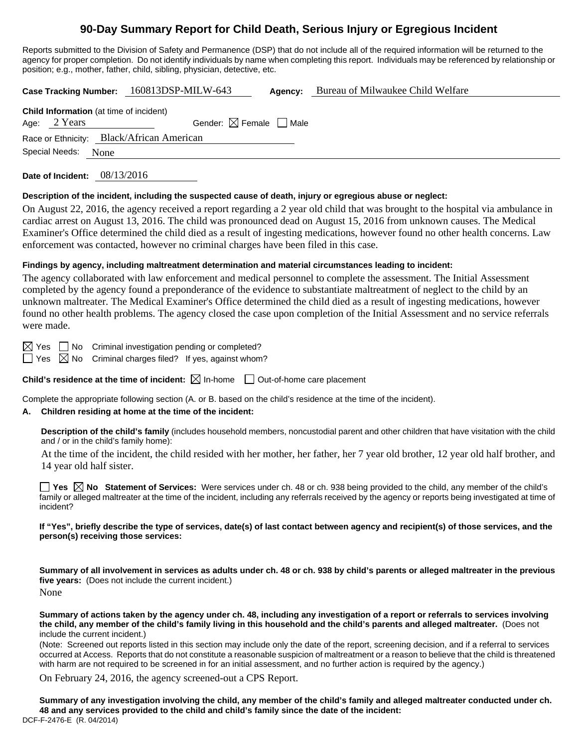# **90-Day Summary Report for Child Death, Serious Injury or Egregious Incident**

Reports submitted to the Division of Safety and Permanence (DSP) that do not include all of the required information will be returned to the agency for proper completion. Do not identify individuals by name when completing this report. Individuals may be referenced by relationship or position; e.g., mother, father, child, sibling, physician, detective, etc.

**Case Tracking Number:** 160813DSP-MILW-643 **Agency:** Bureau of Milwaukee Child Welfare

| <b>Child Information</b> (at time of incident) |              |                                        |  |  |  |  |  |
|------------------------------------------------|--------------|----------------------------------------|--|--|--|--|--|
|                                                | Age: 2 Years | Gender: $\boxtimes$ Female $\Box$ Male |  |  |  |  |  |
| Race or Ethnicity: Black/African American      |              |                                        |  |  |  |  |  |
| Special Needs:<br>None                         |              |                                        |  |  |  |  |  |

**Date of Incident:** 08/13/2016

### **Description of the incident, including the suspected cause of death, injury or egregious abuse or neglect:**

On August 22, 2016, the agency received a report regarding a 2 year old child that was brought to the hospital via ambulance in cardiac arrest on August 13, 2016. The child was pronounced dead on August 15, 2016 from unknown causes. The Medical Examiner's Office determined the child died as a result of ingesting medications, however found no other health concerns. Law enforcement was contacted, however no criminal charges have been filed in this case.

### **Findings by agency, including maltreatment determination and material circumstances leading to incident:**

The agency collaborated with law enforcement and medical personnel to complete the assessment. The Initial Assessment completed by the agency found a preponderance of the evidence to substantiate maltreatment of neglect to the child by an unknown maltreater. The Medical Examiner's Office determined the child died as a result of ingesting medications, however found no other health problems. The agency closed the case upon completion of the Initial Assessment and no service referrals were made.

 $\boxtimes$  Yes  $\Box$  No Criminal investigation pending or completed?

 $\Box$  Yes  $\boxtimes$  No Criminal charges filed? If yes, against whom?

**Child's residence at the time of incident:**  $\boxtimes$  In-home  $\Box$  Out-of-home care placement

Complete the appropriate following section (A. or B. based on the child's residence at the time of the incident).

## **A. Children residing at home at the time of the incident:**

**Description of the child's family** (includes household members, noncustodial parent and other children that have visitation with the child and / or in the child's family home):

 At the time of the incident, the child resided with her mother, her father, her 7 year old brother, 12 year old half brother, and 14 year old half sister.

**Yes No Statement of Services:** Were services under ch. 48 or ch. 938 being provided to the child, any member of the child's family or alleged maltreater at the time of the incident, including any referrals received by the agency or reports being investigated at time of incident?

**If "Yes", briefly describe the type of services, date(s) of last contact between agency and recipient(s) of those services, and the person(s) receiving those services:** 

**Summary of all involvement in services as adults under ch. 48 or ch. 938 by child's parents or alleged maltreater in the previous five years:** (Does not include the current incident.) None

**Summary of actions taken by the agency under ch. 48, including any investigation of a report or referrals to services involving the child, any member of the child's family living in this household and the child's parents and alleged maltreater.** (Does not include the current incident.)

(Note: Screened out reports listed in this section may include only the date of the report, screening decision, and if a referral to services occurred at Access. Reports that do not constitute a reasonable suspicion of maltreatment or a reason to believe that the child is threatened with harm are not required to be screened in for an initial assessment, and no further action is required by the agency.)

On February 24, 2016, the agency screened-out a CPS Report.

DCF-F-2476-E (R. 04/2014) **Summary of any investigation involving the child, any member of the child's family and alleged maltreater conducted under ch. 48 and any services provided to the child and child's family since the date of the incident:**